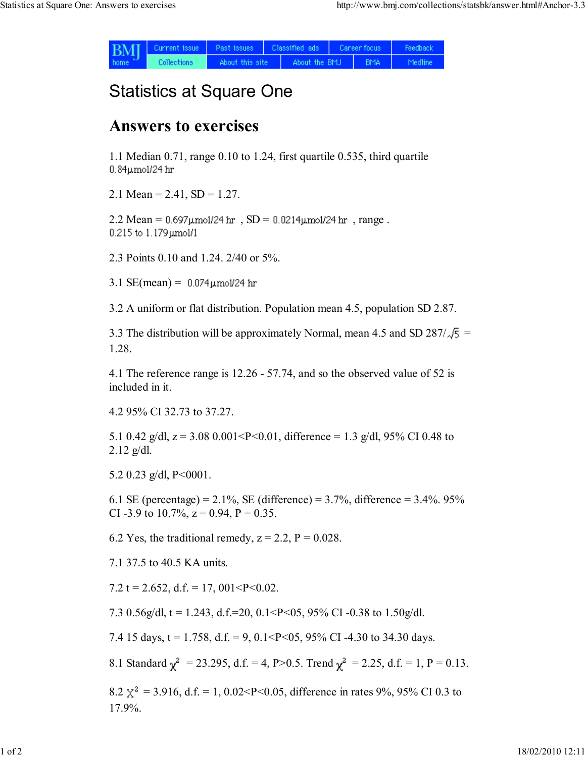| <b>BMI</b><br>home. | Current issue | Past issues     | Classified ads |               | Career focus |            | Feedback |
|---------------------|---------------|-----------------|----------------|---------------|--------------|------------|----------|
|                     | Collections   | About this site |                | About the BMJ |              | <b>BMA</b> | Medline  |

## Statistics at Square One

## Answers to exercises

1.1 Median 0.71, range 0.10 to 1.24, first quartile 0.535, third quartile 0.84µmol/24 hr

2.1 Mean =  $2.41$ , SD =  $1.27$ .

 $2.2$  Mean =  $0.697 \mu$ mol/24 hr,  $SD = 0.0214 \mu$ mol/24 hr, range.  $0.215$  to  $1.179$   $\mu$ mol/1

2.3 Points 0.10 and 1.24. 2/40 or 5%.

3.1  $SE(mean) = 0.074 \mu m o l / 24$  hr

3.2 A uniform or flat distribution. Population mean 4.5, population SD 2.87.

3.3 The distribution will be approximately Normal, mean 4.5 and SD 287/ $\sqrt{5}$  = 1.28.

4.1 The reference range is 12.26 - 57.74, and so the observed value of 52 is included in it.

4.2 95% CI 32.73 to 37.27.

5.1 0.42 g/dl,  $z = 3.08$  0.001<P<0.01, difference = 1.3 g/dl, 95% CI 0.48 to  $2.12$  g/dl.

5.2 0.23 g/dl,  $P < 0001$ .

6.1 SE (percentage) =  $2.1\%$ , SE (difference) =  $3.7\%$ , difference =  $3.4\%$ . 95% CI -3.9 to 10.7%,  $z = 0.94$ ,  $P = 0.35$ .

6.2 Yes, the traditional remedy,  $z = 2.2$ ,  $P = 0.028$ .

7.1 37.5 to 40.5 KA units.

7.2 t = 2.652, d.f. = 17, 001<P<0.02.

7.3 0.56g/dl, t = 1.243, d.f.=20, 0.1<P<05, 95% CI -0.38 to 1.50g/dl.

7.4 15 days,  $t = 1.758$ ,  $d.f. = 9$ ,  $0.1 < P < 0.5$ ,  $95\%$  CI -4.30 to 34.30 days.

8.1 Standard  $\gamma^2 = 23.295$ , d.f. = 4, P>0.5. Trend  $\gamma^2 = 2.25$ , d.f. = 1, P = 0.13.

8.2  $\chi^2$  = 3.916, d.f. = 1, 0.02<P<0.05, difference in rates 9%, 95% CI 0.3 to 17.9%.